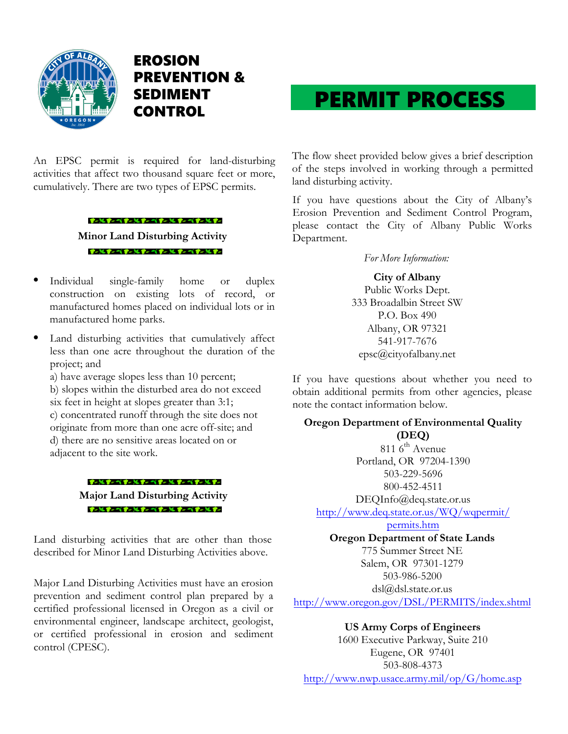

EROSION PREVENTION & SEDIMENT CONTROL

An EPSC permit is required for land-disturbing activities that affect two thousand square feet or more, cumulatively. There are two types of EPSC permits.

## **Minor Land Disturbing Activity**  すいとすいべすいとすいべすい とすいべすいとすい

ずっとすいべすいとすい イすいとすい イすいとすい

- Individual single-family home or duplex construction on existing lots of record, or manufactured homes placed on individual lots or in manufactured home parks.
- Land disturbing activities that cumulatively affect less than one acre throughout the duration of the project; and

a) have average slopes less than 10 percent; b) slopes within the disturbed area do not exceed six feet in height at slopes greater than 3:1; c) concentrated runoff through the site does not originate from more than one acre off-site; and d) there are no sensitive areas located on or adjacent to the site work.

> すいとすいべすいとすい イすい とすい イすいとすい **Major Land Disturbing Activity** すいしすいべすいしすい イすいし すいべすいしすい

Land disturbing activities that are other than those described for Minor Land Disturbing Activities above.

Major Land Disturbing Activities must have an erosion prevention and sediment control plan prepared by a certified professional licensed in Oregon as a civil or environmental engineer, landscape architect, geologist, or certified professional in erosion and sediment control (CPESC).

## PERMIT PROCESS

The flow sheet provided below gives a brief description of the steps involved in working through a permitted land disturbing activity.

If you have questions about the City of Albany's Erosion Prevention and Sediment Control Program, please contact the City of Albany Public Works Department.

*For More Information:*

**City of Albany**  Public Works Dept. 333 Broadalbin Street SW P.O. Box 490 Albany, OR 97321 541-917-7676 epsc@cityofalbany.net

If you have questions about whether you need to obtain additional permits from other agencies, please note the contact information below.

## **Oregon Department of Environmental Quality (DEQ)**

811 6<sup>th</sup> Avenue Portland, OR 97204-1390 503-229-5696 800-452-4511

DEQInfo@deq.state.or.us

http://www.deq.state.or.us/WQ/wqpermit/

permits.htm

**Oregon Department of State Lands**  775 Summer Street NE Salem, OR 97301-1279 503-986-5200

dsl@dsl.state.or.us

http://www.oregon.gov/DSL/PERMITS/index.shtml

**US Army Corps of Engineers**  1600 Executive Parkway, Suite 210 Eugene, OR 97401 503-808-4373 http://www.nwp.usace.army.mil/op/G/home.asp